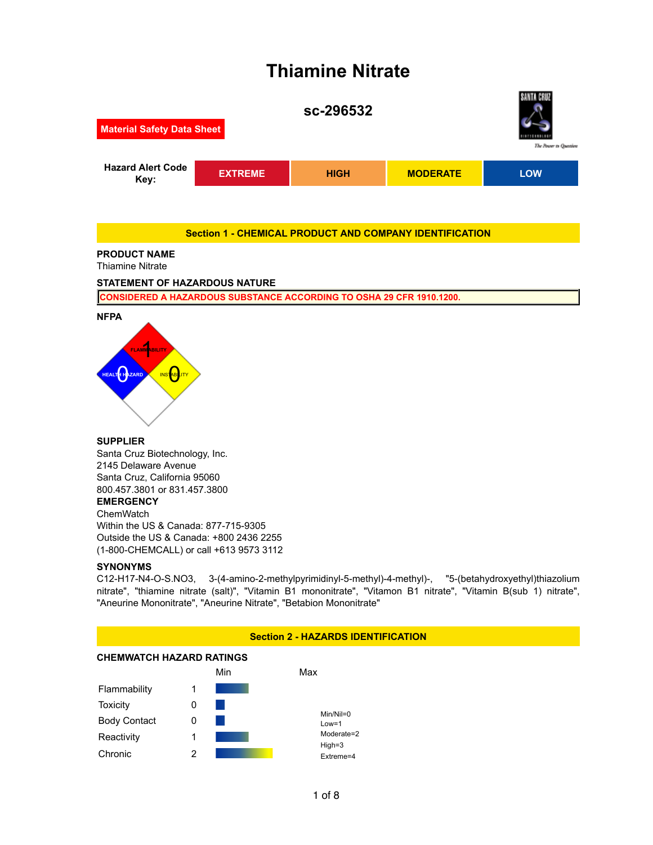## **Thiamine Nitrate**



#### **Section 1 - CHEMICAL PRODUCT AND COMPANY IDENTIFICATION**

#### **PRODUCT NAME**

Thiamine Nitrate

#### **STATEMENT OF HAZARDOUS NATURE**

**CONSIDERED A HAZARDOUS SUBSTANCE ACCORDING TO OSHA 29 CFR 1910.1200.**



# **FLAMMABILITY HEALTH HAZARD**

#### **SUPPLIER**

Santa Cruz Biotechnology, Inc. 2145 Delaware Avenue Santa Cruz, California 95060 800.457.3801 or 831.457.3800 **EMERGENCY** ChemWatch Within the US & Canada: 877-715-9305 Outside the US & Canada: +800 2436 2255 (1-800-CHEMCALL) or call +613 9573 3112

#### **SYNONYMS**

C12-H17-N4-O-S.NO3, 3-(4-amino-2-methylpyrimidinyl-5-methyl)-4-methyl)-, "5-(betahydroxyethyl)thiazolium nitrate", "thiamine nitrate (salt)", "Vitamin B1 mononitrate", "Vitamon B1 nitrate", "Vitamin B(sub 1) nitrate", "Aneurine Mononitrate", "Aneurine Nitrate", "Betabion Mononitrate"

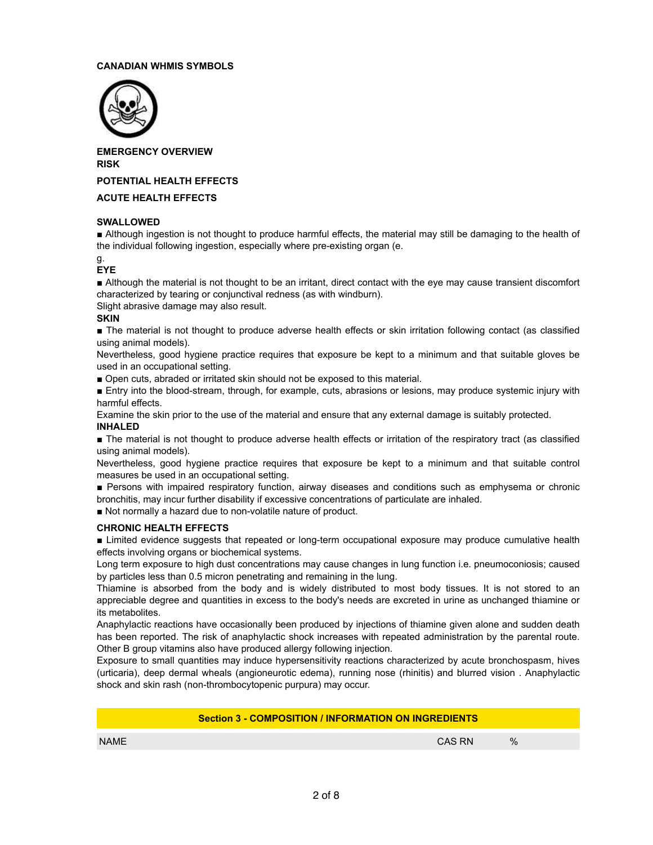#### **CANADIAN WHMIS SYMBOLS**



**EMERGENCY OVERVIEW RISK**

**POTENTIAL HEALTH EFFECTS**

#### **ACUTE HEALTH EFFECTS**

#### **SWALLOWED**

■ Although ingestion is not thought to produce harmful effects, the material may still be damaging to the health of the individual following ingestion, especially where pre-existing organ (e.

#### g. **EYE**

■ Although the material is not thought to be an irritant, direct contact with the eye may cause transient discomfort characterized by tearing or conjunctival redness (as with windburn).

Slight abrasive damage may also result.

#### **SKIN**

■ The material is not thought to produce adverse health effects or skin irritation following contact (as classified using animal models).

Nevertheless, good hygiene practice requires that exposure be kept to a minimum and that suitable gloves be used in an occupational setting.

■ Open cuts, abraded or irritated skin should not be exposed to this material.

■ Entry into the blood-stream, through, for example, cuts, abrasions or lesions, may produce systemic injury with harmful effects.

Examine the skin prior to the use of the material and ensure that any external damage is suitably protected. **INHALED**

■ The material is not thought to produce adverse health effects or irritation of the respiratory tract (as classified using animal models).

Nevertheless, good hygiene practice requires that exposure be kept to a minimum and that suitable control measures be used in an occupational setting.

■ Persons with impaired respiratory function, airway diseases and conditions such as emphysema or chronic bronchitis, may incur further disability if excessive concentrations of particulate are inhaled.

■ Not normally a hazard due to non-volatile nature of product.

#### **CHRONIC HEALTH EFFECTS**

■ Limited evidence suggests that repeated or long-term occupational exposure may produce cumulative health effects involving organs or biochemical systems.

Long term exposure to high dust concentrations may cause changes in lung function i.e. pneumoconiosis; caused by particles less than 0.5 micron penetrating and remaining in the lung.

Thiamine is absorbed from the body and is widely distributed to most body tissues. It is not stored to an appreciable degree and quantities in excess to the body's needs are excreted in urine as unchanged thiamine or its metabolites.

Anaphylactic reactions have occasionally been produced by injections of thiamine given alone and sudden death has been reported. The risk of anaphylactic shock increases with repeated administration by the parental route. Other B group vitamins also have produced allergy following injection.

Exposure to small quantities may induce hypersensitivity reactions characterized by acute bronchospasm, hives (urticaria), deep dermal wheals (angioneurotic edema), running nose (rhinitis) and blurred vision . Anaphylactic shock and skin rash (non-thrombocytopenic purpura) may occur.

| <b>Section 3 - COMPOSITION / INFORMATION ON INGREDIENTS</b> |        |  |      |  |  |
|-------------------------------------------------------------|--------|--|------|--|--|
| <b>NAME</b>                                                 | CAS RN |  | $\%$ |  |  |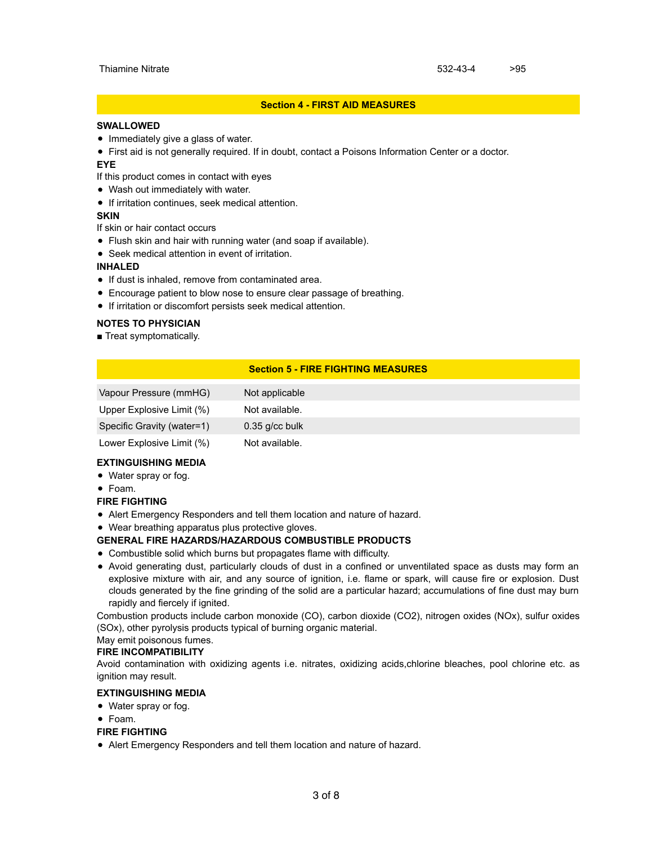#### **Section 4 - FIRST AID MEASURES**

#### **SWALLOWED**

- Immediately give a glass of water.
- First aid is not generally required. If in doubt, contact a Poisons Information Center or a doctor.

#### **EYE**

- If this product comes in contact with eyes
- Wash out immediately with water.
- **•** If irritation continues, seek medical attention.

#### **SKIN**

If skin or hair contact occurs

- Flush skin and hair with running water (and soap if available).
- Seek medical attention in event of irritation.

#### **INHALED**

- If dust is inhaled, remove from contaminated area.
- Encourage patient to blow nose to ensure clear passage of breathing.
- If irritation or discomfort persists seek medical attention.

#### **NOTES TO PHYSICIAN**

■ Treat symptomatically.

#### **Section 5 - FIRE FIGHTING MEASURES**

| Vapour Pressure (mmHG)     | Not applicable   |
|----------------------------|------------------|
| Upper Explosive Limit (%)  | Not available.   |
| Specific Gravity (water=1) | $0.35$ g/cc bulk |
| Lower Explosive Limit (%)  | Not available.   |

#### **EXTINGUISHING MEDIA**

- Water spray or fog.
- Foam.

#### **FIRE FIGHTING**

Alert Emergency Responders and tell them location and nature of hazard.

Wear breathing apparatus plus protective gloves.

#### **GENERAL FIRE HAZARDS/HAZARDOUS COMBUSTIBLE PRODUCTS**

- Combustible solid which burns but propagates flame with difficulty.
- Avoid generating dust, particularly clouds of dust in a confined or unventilated space as dusts may form an explosive mixture with air, and any source of ignition, i.e. flame or spark, will cause fire or explosion. Dust clouds generated by the fine grinding of the solid are a particular hazard; accumulations of fine dust may burn rapidly and fiercely if ignited.

Combustion products include carbon monoxide (CO), carbon dioxide (CO2), nitrogen oxides (NOx), sulfur oxides (SOx), other pyrolysis products typical of burning organic material.

### May emit poisonous fumes.

#### **FIRE INCOMPATIBILITY**

Avoid contamination with oxidizing agents i.e. nitrates, oxidizing acids,chlorine bleaches, pool chlorine etc. as ignition may result.

#### **EXTINGUISHING MEDIA**

- Water spray or fog.
- Foam.

#### **FIRE FIGHTING**

Alert Emergency Responders and tell them location and nature of hazard.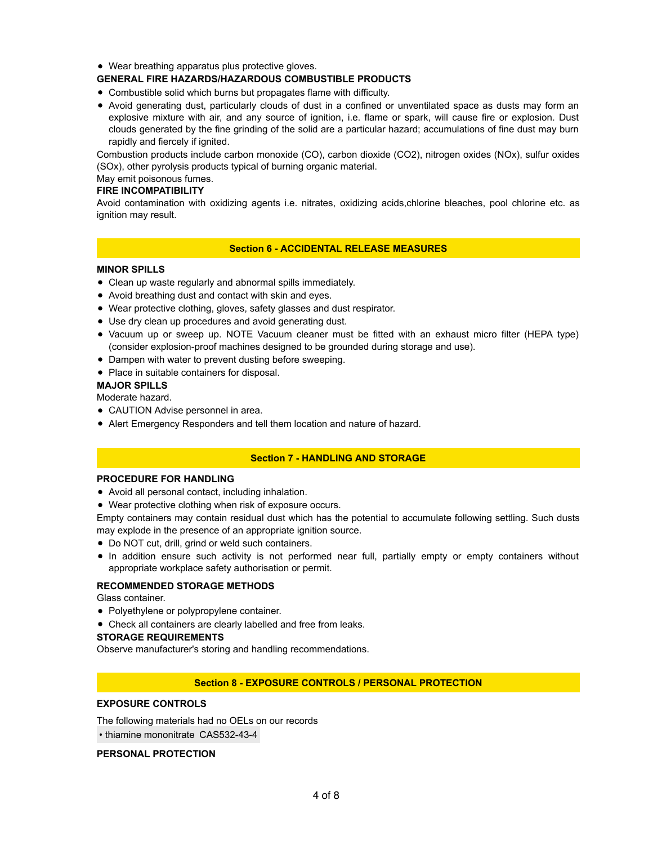Wear breathing apparatus plus protective gloves.

#### **GENERAL FIRE HAZARDS/HAZARDOUS COMBUSTIBLE PRODUCTS**

- Combustible solid which burns but propagates flame with difficulty.
- Avoid generating dust, particularly clouds of dust in a confined or unventilated space as dusts may form an explosive mixture with air, and any source of ignition, i.e. flame or spark, will cause fire or explosion. Dust clouds generated by the fine grinding of the solid are a particular hazard; accumulations of fine dust may burn rapidly and fiercely if ignited.

Combustion products include carbon monoxide (CO), carbon dioxide (CO2), nitrogen oxides (NOx), sulfur oxides (SOx), other pyrolysis products typical of burning organic material.

#### May emit poisonous fumes.

#### **FIRE INCOMPATIBILITY**

Avoid contamination with oxidizing agents i.e. nitrates, oxidizing acids,chlorine bleaches, pool chlorine etc. as ignition may result.

#### **Section 6 - ACCIDENTAL RELEASE MEASURES**

#### **MINOR SPILLS**

- Clean up waste regularly and abnormal spills immediately.
- Avoid breathing dust and contact with skin and eyes.
- Wear protective clothing, gloves, safety glasses and dust respirator.
- Use dry clean up procedures and avoid generating dust.
- Vacuum up or sweep up. NOTE Vacuum cleaner must be fitted with an exhaust micro filter (HEPA type) (consider explosion-proof machines designed to be grounded during storage and use).
- Dampen with water to prevent dusting before sweeping.
- Place in suitable containers for disposal.

#### **MAJOR SPILLS**

#### Moderate hazard.

- CAUTION Advise personnel in area.
- Alert Emergency Responders and tell them location and nature of hazard.

#### **Section 7 - HANDLING AND STORAGE**

#### **PROCEDURE FOR HANDLING**

- Avoid all personal contact, including inhalation.
- Wear protective clothing when risk of exposure occurs.

Empty containers may contain residual dust which has the potential to accumulate following settling. Such dusts may explode in the presence of an appropriate ignition source.

- Do NOT cut, drill, grind or weld such containers.
- In addition ensure such activity is not performed near full, partially empty or empty containers without appropriate workplace safety authorisation or permit.

#### **RECOMMENDED STORAGE METHODS**

Glass container.

- Polyethylene or polypropylene container.
- Check all containers are clearly labelled and free from leaks.

#### **STORAGE REQUIREMENTS**

Observe manufacturer's storing and handling recommendations.

#### **Section 8 - EXPOSURE CONTROLS / PERSONAL PROTECTION**

#### **EXPOSURE CONTROLS**

The following materials had no OELs on our records • thiamine mononitrate CAS532-43-4

#### **PERSONAL PROTECTION**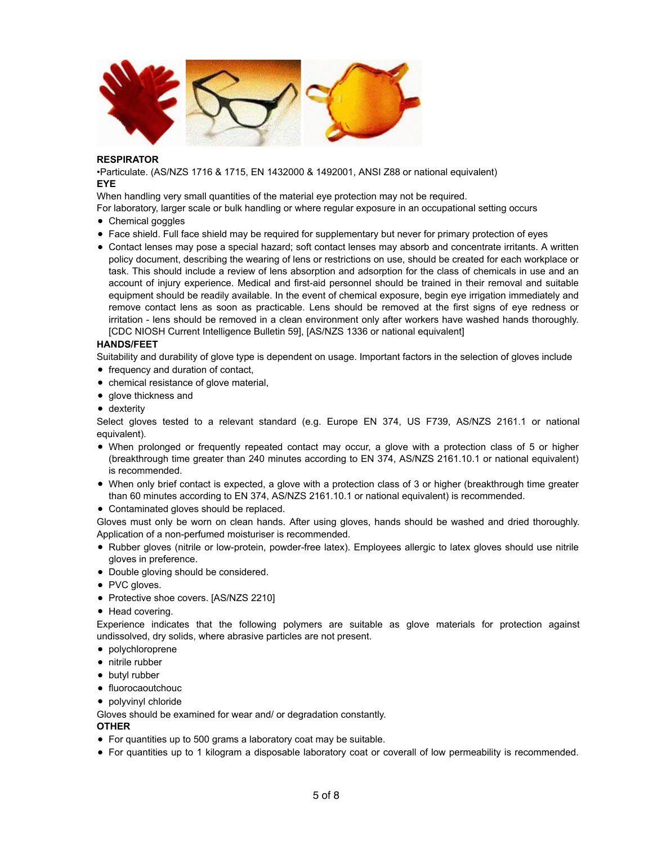

#### **RESPIRATOR**

•Particulate. (AS/NZS 1716 & 1715, EN 1432000 & 1492001, ANSI Z88 or national equivalent) **EYE**

When handling very small quantities of the material eye protection may not be required.

For laboratory, larger scale or bulk handling or where regular exposure in an occupational setting occurs

- Chemical goggles
- Face shield. Full face shield may be required for supplementary but never for primary protection of eyes
- Contact lenses may pose a special hazard; soft contact lenses may absorb and concentrate irritants. A written policy document, describing the wearing of lens or restrictions on use, should be created for each workplace or task. This should include a review of lens absorption and adsorption for the class of chemicals in use and an account of injury experience. Medical and first-aid personnel should be trained in their removal and suitable equipment should be readily available. In the event of chemical exposure, begin eye irrigation immediately and remove contact lens as soon as practicable. Lens should be removed at the first signs of eve redness or irritation - lens should be removed in a clean environment only after workers have washed hands thoroughly. [CDC NIOSH Current Intelligence Bulletin 59], [AS/NZS 1336 or national equivalent]

#### **HANDS/FEET**

Suitability and durability of glove type is dependent on usage. Important factors in the selection of gloves include

- frequency and duration of contact,
- chemical resistance of glove material,
- glove thickness and
- dexterity

Select gloves tested to a relevant standard (e.g. Europe EN 374, US F739, AS/NZS 2161.1 or national equivalent).

- When prolonged or frequently repeated contact may occur, a glove with a protection class of 5 or higher (breakthrough time greater than 240 minutes according to EN 374, AS/NZS 2161.10.1 or national equivalent) is recommended.
- When only brief contact is expected, a glove with a protection class of 3 or higher (breakthrough time greater than 60 minutes according to EN 374, AS/NZS 2161.10.1 or national equivalent) is recommended.
- Contaminated gloves should be replaced.

Gloves must only be worn on clean hands. After using gloves, hands should be washed and dried thoroughly. Application of a non-perfumed moisturiser is recommended.

- Rubber gloves (nitrile or low-protein, powder-free latex). Employees allergic to latex gloves should use nitrile gloves in preference.
- Double gloving should be considered.
- PVC gloves.
- Protective shoe covers. [AS/NZS 2210]
- Head covering.

Experience indicates that the following polymers are suitable as glove materials for protection against undissolved, dry solids, where abrasive particles are not present.

- polychloroprene
- nitrile rubber
- butyl rubber
- fluorocaoutchouc
- polyvinyl chloride

Gloves should be examined for wear and/ or degradation constantly.

#### **OTHER**

- For quantities up to 500 grams a laboratory coat may be suitable.
- For quantities up to 1 kilogram a disposable laboratory coat or coverall of low permeability is recommended.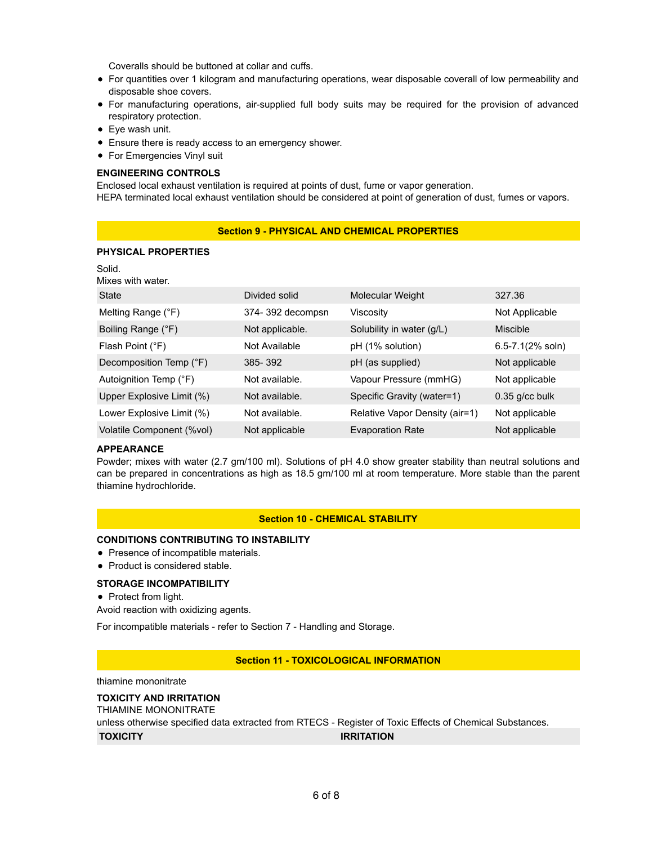Coveralls should be buttoned at collar and cuffs.

- For quantities over 1 kilogram and manufacturing operations, wear disposable coverall of low permeability and disposable shoe covers.
- For manufacturing operations, air-supplied full body suits may be required for the provision of advanced respiratory protection.
- Eye wash unit.
- Ensure there is ready access to an emergency shower.
- For Emergencies Vinyl suit

#### **ENGINEERING CONTROLS**

Enclosed local exhaust ventilation is required at points of dust, fume or vapor generation. HEPA terminated local exhaust ventilation should be considered at point of generation of dust, fumes or vapors.

#### **Section 9 - PHYSICAL AND CHEMICAL PROPERTIES**

#### **PHYSICAL PROPERTIES**

| Solid.                    |                  |                                |                      |
|---------------------------|------------------|--------------------------------|----------------------|
| Mixes with water.         |                  |                                |                      |
| State                     | Divided solid    | <b>Molecular Weight</b>        | 327.36               |
| Melting Range (°F)        | 374-392 decompsn | Viscosity                      | Not Applicable       |
| Boiling Range (°F)        | Not applicable.  | Solubility in water (g/L)      | Miscible             |
| Flash Point (°F)          | Not Available    | pH (1% solution)               | $6.5 - 7.1(2% soln)$ |
| Decomposition Temp (°F)   | 385-392          | pH (as supplied)               | Not applicable       |
| Autoignition Temp (°F)    | Not available.   | Vapour Pressure (mmHG)         | Not applicable       |
| Upper Explosive Limit (%) | Not available.   | Specific Gravity (water=1)     | $0.35$ g/cc bulk     |
| Lower Explosive Limit (%) | Not available.   | Relative Vapor Density (air=1) | Not applicable       |
| Volatile Component (%vol) | Not applicable   | <b>Evaporation Rate</b>        | Not applicable       |

#### **APPEARANCE**

Powder; mixes with water (2.7 gm/100 ml). Solutions of pH 4.0 show greater stability than neutral solutions and can be prepared in concentrations as high as 18.5 gm/100 ml at room temperature. More stable than the parent thiamine hydrochloride.

#### **Section 10 - CHEMICAL STABILITY**

#### **CONDITIONS CONTRIBUTING TO INSTABILITY**

- Presence of incompatible materials.
- Product is considered stable.

#### **STORAGE INCOMPATIBILITY**

• Protect from light.

Avoid reaction with oxidizing agents.

For incompatible materials - refer to Section 7 - Handling and Storage.

#### **Section 11 - TOXICOLOGICAL INFORMATION**

thiamine mononitrate

#### **TOXICITY AND IRRITATION**

THIAMINE MONONITRATE

unless otherwise specified data extracted from RTECS - Register of Toxic Effects of Chemical Substances. **TOXICITY IRRITATION**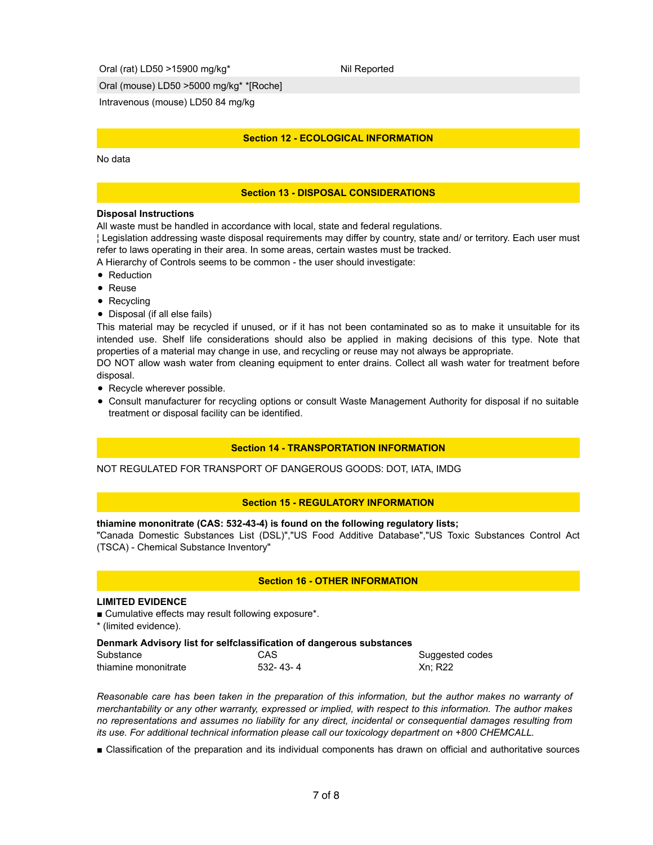Oral (rat) LD50 >15900 mg/kg<sup>\*</sup> Nil Reported

Oral (mouse) LD50 >5000 mg/kg\* \*[Roche]

Intravenous (mouse) LD50 84 mg/kg

#### **Section 12 - ECOLOGICAL INFORMATION**

#### No data

#### **Section 13 - DISPOSAL CONSIDERATIONS**

#### **Disposal Instructions**

All waste must be handled in accordance with local, state and federal regulations.

¦ Legislation addressing waste disposal requirements may differ by country, state and/ or territory. Each user must refer to laws operating in their area. In some areas, certain wastes must be tracked.

A Hierarchy of Controls seems to be common - the user should investigate:

- Reduction
- Reuse
- Recycling
- Disposal (if all else fails)

This material may be recycled if unused, or if it has not been contaminated so as to make it unsuitable for its intended use. Shelf life considerations should also be applied in making decisions of this type. Note that properties of a material may change in use, and recycling or reuse may not always be appropriate.

DO NOT allow wash water from cleaning equipment to enter drains. Collect all wash water for treatment before disposal.

- Recycle wherever possible.
- Consult manufacturer for recycling options or consult Waste Management Authority for disposal if no suitable treatment or disposal facility can be identified.

#### **Section 14 - TRANSPORTATION INFORMATION**

NOT REGULATED FOR TRANSPORT OF DANGEROUS GOODS: DOT, IATA, IMDG

#### **Section 15 - REGULATORY INFORMATION**

#### **thiamine mononitrate (CAS: 532-43-4) is found on the following regulatory lists;**

"Canada Domestic Substances List (DSL)","US Food Additive Database","US Toxic Substances Control Act (TSCA) - Chemical Substance Inventory"

#### **Section 16 - OTHER INFORMATION**

#### **LIMITED EVIDENCE**

■ Cumulative effects may result following exposure\*.

\* (limited evidence).

#### **Denmark Advisory list for selfclassification of dangerous substances**

| Substance            | CAS        | Suggested codes |
|----------------------|------------|-----------------|
| thiamine mononitrate | 532- 43- 4 | <b>Xn: R22</b>  |

*Reasonable care has been taken in the preparation of this information, but the author makes no warranty of merchantability or any other warranty, expressed or implied, with respect to this information. The author makes no representations and assumes no liability for any direct, incidental or consequential damages resulting from its use. For additional technical information please call our toxicology department on +800 CHEMCALL.*

■ Classification of the preparation and its individual components has drawn on official and authoritative sources